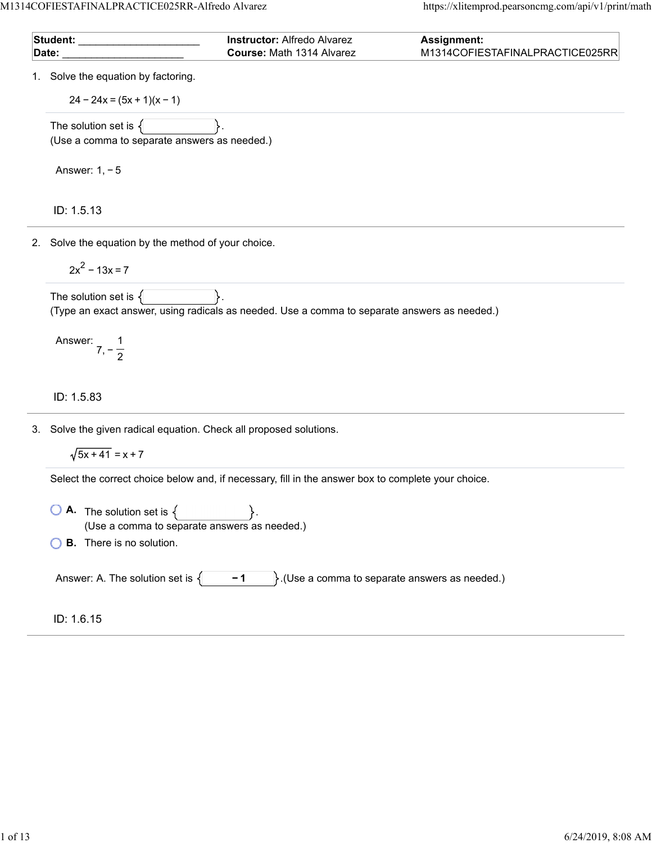M1314COFIESTAFINALPRACTICE025RR-Alfredo Alvarez https://xlitemprod.pearsoncmg.com/api/v1/print/math

|  | Student: Student:                                                  | <b>Instructor: Alfredo Alvarez</b><br>Course: Math 1314 Alvarez                                    | <b>Assignment:</b><br>M1314COFIESTAFINALPRACTICE025RR |
|--|--------------------------------------------------------------------|----------------------------------------------------------------------------------------------------|-------------------------------------------------------|
|  | Date:                                                              |                                                                                                    |                                                       |
|  | 1. Solve the equation by factoring.                                |                                                                                                    |                                                       |
|  | $24 - 24x = (5x + 1)(x - 1)$                                       |                                                                                                    |                                                       |
|  | The solution set is $\{$                                           |                                                                                                    |                                                       |
|  | (Use a comma to separate answers as needed.)                       |                                                                                                    |                                                       |
|  | Answer: $1, -5$                                                    |                                                                                                    |                                                       |
|  | ID: 1.5.13                                                         |                                                                                                    |                                                       |
|  | 2. Solve the equation by the method of your choice.                |                                                                                                    |                                                       |
|  | $2x^2 - 13x = 7$                                                   |                                                                                                    |                                                       |
|  | The solution set is $\{$                                           | (Type an exact answer, using radicals as needed. Use a comma to separate answers as needed.)       |                                                       |
|  |                                                                    |                                                                                                    |                                                       |
|  | Answer: $7, -\frac{1}{2}$                                          |                                                                                                    |                                                       |
|  | ID: 1.5.83                                                         |                                                                                                    |                                                       |
|  | 3. Solve the given radical equation. Check all proposed solutions. |                                                                                                    |                                                       |
|  | $\sqrt{5x+41}$ = x + 7                                             |                                                                                                    |                                                       |
|  |                                                                    | Select the correct choice below and, if necessary, fill in the answer box to complete your choice. |                                                       |
|  | <b>A.</b> The solution set is $\{$                                 |                                                                                                    |                                                       |
|  | (Use a comma to separate answers as needed.)                       |                                                                                                    |                                                       |
|  | <b>B.</b> There is no solution.                                    |                                                                                                    |                                                       |
|  | Answer: A. The solution set is $\{$                                | $-1$                                                                                               | $\}$ . (Use a comma to separate answers as needed.)   |
|  | ID: 1.6.15                                                         |                                                                                                    |                                                       |
|  |                                                                    |                                                                                                    |                                                       |
|  |                                                                    |                                                                                                    |                                                       |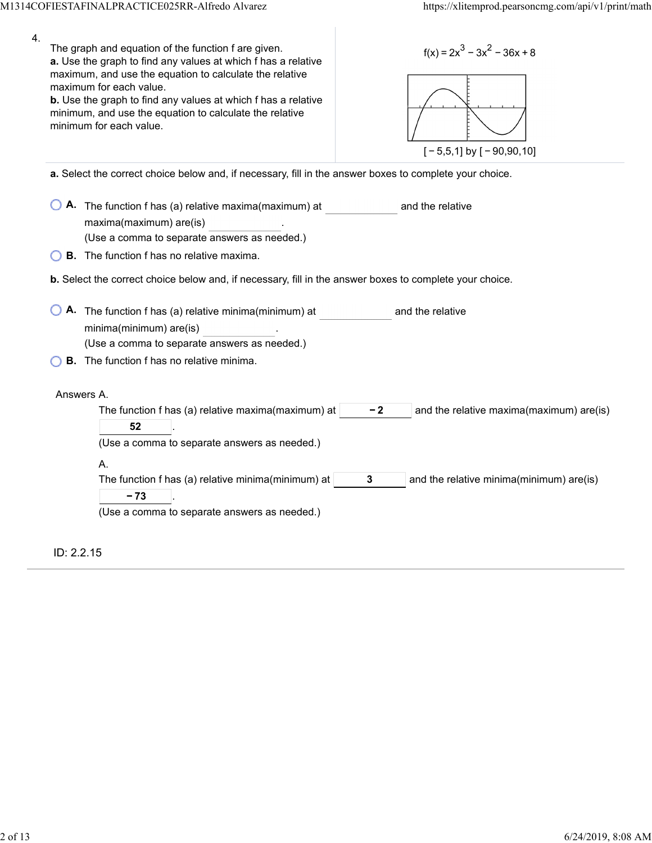| $\overline{4}$ . | The graph and equation of the function f are given.<br>$f(x) = 2x^3 - 3x^2 - 36x + 8$<br>a. Use the graph to find any values at which f has a relative<br>maximum, and use the equation to calculate the relative<br>maximum for each value.<br>b. Use the graph to find any values at which f has a relative<br>minimum, and use the equation to calculate the relative<br>minimum for each value.<br>$[-5,5,1]$ by $[-90,90,10]$ |
|------------------|------------------------------------------------------------------------------------------------------------------------------------------------------------------------------------------------------------------------------------------------------------------------------------------------------------------------------------------------------------------------------------------------------------------------------------|
|                  | a. Select the correct choice below and, if necessary, fill in the answer boxes to complete your choice.                                                                                                                                                                                                                                                                                                                            |
|                  | A. The function f has (a) relative maxima(maximum) at<br>and the relative<br>maxima(maximum) are(is)<br>(Use a comma to separate answers as needed.)                                                                                                                                                                                                                                                                               |
|                  | <b>B.</b> The function f has no relative maxima.                                                                                                                                                                                                                                                                                                                                                                                   |
|                  | b. Select the correct choice below and, if necessary, fill in the answer boxes to complete your choice.                                                                                                                                                                                                                                                                                                                            |
|                  | A. The function f has (a) relative minima(minimum) at<br>and the relative<br>minima(minimum) are(is)<br>(Use a comma to separate answers as needed.)<br><b>B.</b> The function f has no relative minima.                                                                                                                                                                                                                           |
|                  | Answers A.<br>The function f has (a) relative maxima(maximum) at<br>$-2$<br>and the relative maxima(maximum) are(is)<br>52<br>(Use a comma to separate answers as needed.)                                                                                                                                                                                                                                                         |
|                  | А.<br>The function f has (a) relative minima(minimum) at<br>3<br>and the relative minima(minimum) are(is)<br>- 73<br>(Use a comma to separate answers as needed.)                                                                                                                                                                                                                                                                  |
|                  | ID: 2.2.15                                                                                                                                                                                                                                                                                                                                                                                                                         |

ï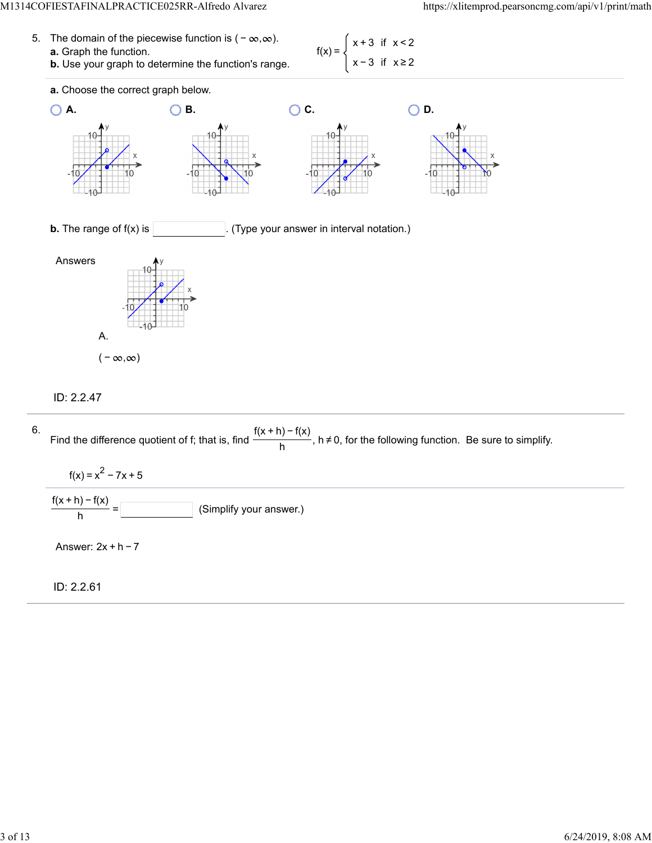**a.** Graph the function.

5. The domain of the piecewise function is  $(-\infty, \infty)$ .

| $f(x) = \begin{cases} x + 3 & \text{if } x < 2 \\ x - 3 & \text{if } x \ge 2 \end{cases}$ |  |  |
|-------------------------------------------------------------------------------------------|--|--|
|                                                                                           |  |  |



#### ID: 2.2.47

6. Find the difference quotient of f; that is, find  $\frac{f(x + h) - f(x)}{h}$ , h≠0, for the following function. Be sure to simplify.  $f(x) = x^2 - 7x + 5$ (Simplify your answer.)  $\frac{f(x+h)-f(x)}{h} =$ Answer: 2x + h − 7

ID: 2.2.61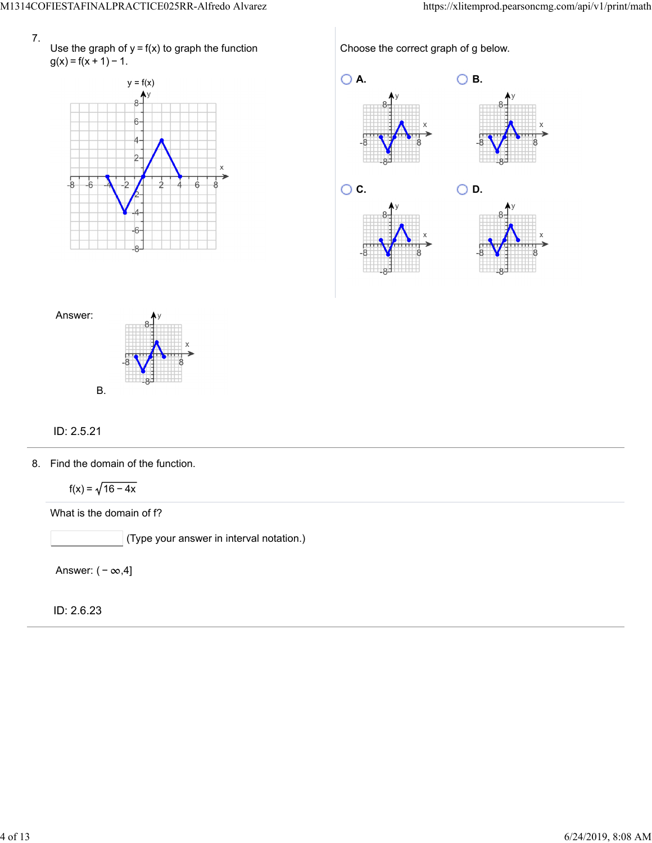

Use the graph of  $y = f(x)$  to graph the function  $g(x) = f(x + 1) - 1.$ 



Choose the correct graph of g below.





## ID: 2.5.21

8. Find the domain of the function.

 $f(x) = \sqrt{16 - 4x}$ 

What is the domain of f?

(Type your answer in interval notation.)

Answer:  $(-\infty, 4]$ 

ID: 2.6.23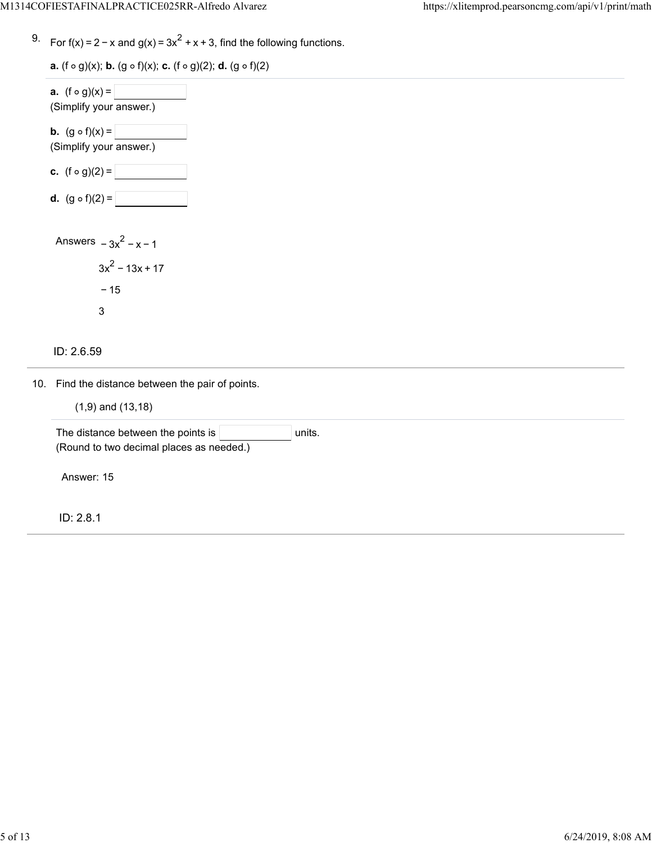<sup>9.</sup> For f(x) = 2 − x and g(x) =  $3x^2 + x + 3$ , find the following functions.

**a.**  $(f \circ g)(x)$ ; **b.**  $(g \circ f)(x)$ ; **c.**  $(f \circ g)(2)$ ; **d.**  $(g \circ f)(2)$ 

| <b>a.</b> $(f \circ g)(x) =$<br>(Simplify your answer.)    |  |  |  |
|------------------------------------------------------------|--|--|--|
| <b>b.</b> $(g \circ f)(x) =$<br>(Simplify your answer.)    |  |  |  |
| <b>c.</b> $(f \circ g)(2) =$                               |  |  |  |
| <b>d.</b> $(g \circ f)(2) =$                               |  |  |  |
| Answers $-3x^2 - x - 1$<br>$3x^2$ – 13x + 17<br>$-15$<br>3 |  |  |  |

### ID: 2.6.59

10. Find the distance between the pair of points.

| $(1,9)$ and $(13,18)$ |  |  |  |  |
|-----------------------|--|--|--|--|
|-----------------------|--|--|--|--|

| The distance between the points is $ $   | units. |  |  |  |
|------------------------------------------|--------|--|--|--|
| (Round to two decimal places as needed.) |        |  |  |  |
|                                          |        |  |  |  |
| Answer: 15                               |        |  |  |  |
|                                          |        |  |  |  |
|                                          |        |  |  |  |
|                                          |        |  |  |  |

ID: 2.8.1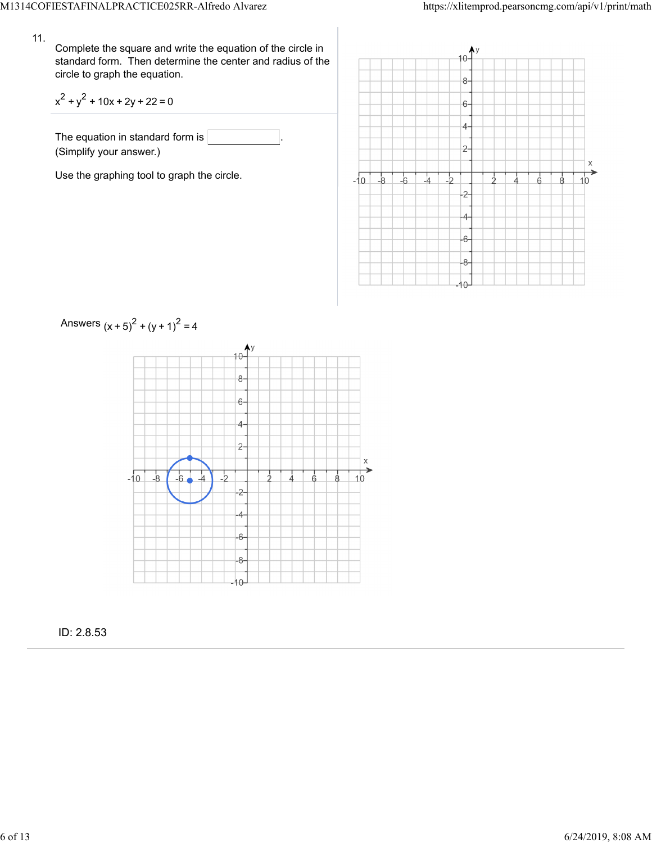#### 11.

Complete the square and write the equation of the circle in standard form. Then determine the center and radius of the circle to graph the equation.

$$
x^2 + y^2 + 10x + 2y + 22 = 0
$$

The equation in standard form is (Simplify your answer.)

Use the graphing tool to graph the circle.





ID: 2.8.53

# Answers  $(x + 5)^{2} + (y + 1)^{2} = 4$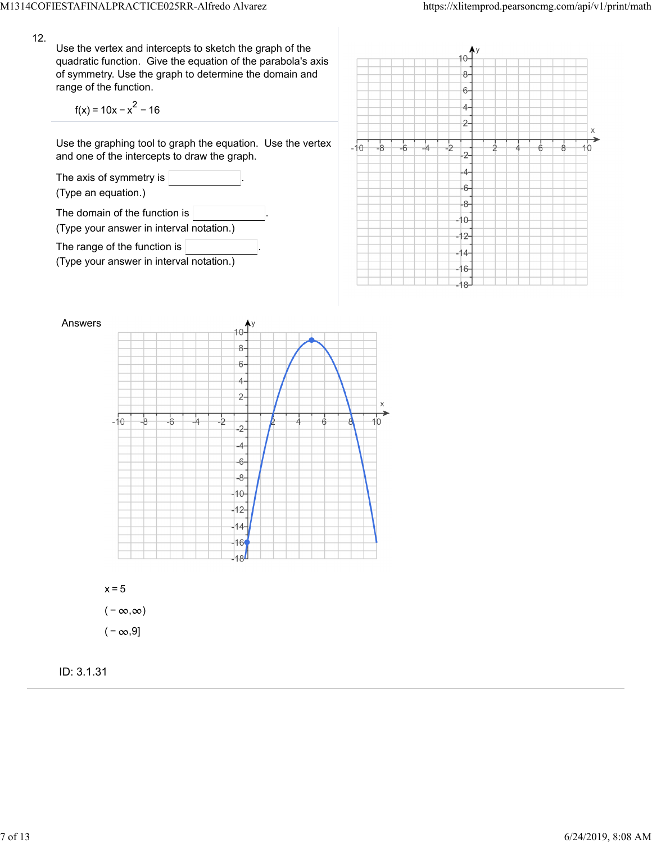12.

Use the vertex and intercepts to sketch the graph of the quadratic function. Give the equation of the parabola's axis of symmetry. Use the graph to determine the domain and range of the function.

 $f(x) = 10x - x^2 - 16$ 

Use the graphing tool to graph the equation. Use the vertex and one of the intercepts to draw the graph.







 $x=5$  $(-\infty, \infty)$  $(-\infty, 9]$ 

ID: 3.1.31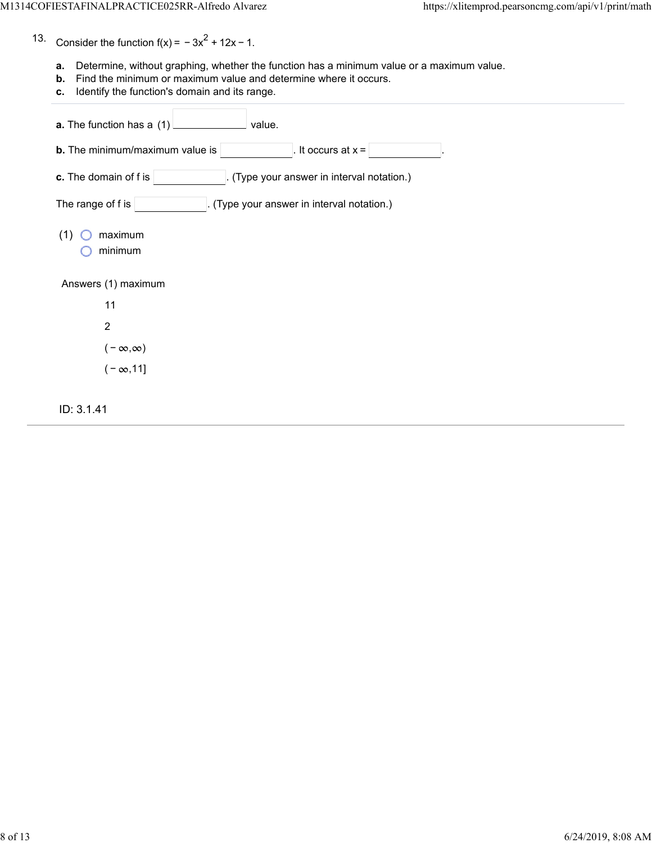- 13. Consider the function  $f(x) = -3x^2 + 12x - 1$ .
	- **a.** Determine, without graphing, whether the function has a minimum value or a maximum value.
	- **b.** Find the minimum or maximum value and determine where it occurs.
	- **c.** Identify the function's domain and its range.

| <b>a.</b> The function has a (1)<br>value.                        |  |  |  |  |
|-------------------------------------------------------------------|--|--|--|--|
| It occurs at $x =$<br><b>b.</b> The minimum/maximum value is      |  |  |  |  |
| c. The domain of f is<br>(Type your answer in interval notation.) |  |  |  |  |
| The range of f is<br>(Type your answer in interval notation.)     |  |  |  |  |
| (1)<br>maximum<br>minimum                                         |  |  |  |  |
| Answers (1) maximum                                               |  |  |  |  |
| 11                                                                |  |  |  |  |
| $\overline{2}$                                                    |  |  |  |  |
| $(-\infty,\infty)$                                                |  |  |  |  |
| $(-\infty, 11]$                                                   |  |  |  |  |
| ID: 3.1.41                                                        |  |  |  |  |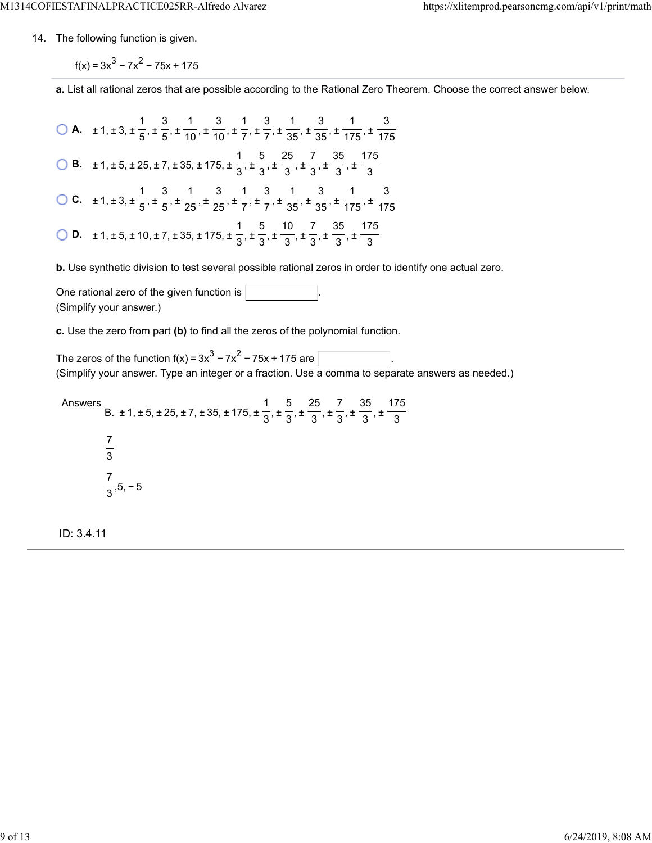14. The following function is given.

 $f(x) = 3x^{3} - 7x^{2} - 75x + 175$ 

**a.** List all rational zeros that are possible according to the Rational Zero Theorem. Choose the correct answer below.

**A.**  $\pm 1, \pm 3, \pm \frac{1}{5}, \pm \frac{3}{5}, \pm \frac{1}{40}, \pm \frac{3}{7}, \pm \frac{1}{7}, \pm \frac{3}{75}, \pm \frac{1}{25}, \pm \frac{3}{75}, \pm \frac{1}{75}$  **B.**  $\pm 1, \pm 5, \pm 25, \pm 7, \pm 35, \pm 175, \pm \frac{1}{2}, \pm \frac{5}{2}, \pm \frac{25}{2}, \pm \frac{7}{2}, \pm \frac{35}{2}, \pm \frac{1}{2}$  **C.**  $\pm 1, \pm 3, \pm \frac{1}{5}, \pm \frac{3}{65}, \pm \frac{1}{25}, \pm \frac{3}{7}, \pm \frac{1}{7}, \pm \frac{3}{75}, \pm \frac{1}{25}, \pm \frac{3}{475}, \pm \frac{1}{155}$  **D.**  $\pm 1, \pm 5, \pm 10, \pm 7, \pm 35, \pm 175, \pm \frac{1}{2}, \pm \frac{5}{2}, \pm \frac{10}{2}, \pm \frac{7}{2}, \pm \frac{35}{2}, \pm \frac{10}{2}$  

**b.** Use synthetic division to test several possible rational zeros in order to identify one actual zero.

One rational zero of the given function is . (Simplify your answer.)

**c.** Use the zero from part **(b)** to find all the zeros of the polynomial function.

The zeros of the function f(x) =  $3x^3 - 7x^2 - 75x + 175$  are  $\overline{\phantom{a}}$ (Simplify your answer. Type an integer or a fraction. Use a comma to separate answers as needed.)

Answers B.  $\pm$  1,  $\pm$  5,  $\pm$  25,  $\pm$  7,  $\pm$  35,  $\pm$  175,  $\pm$   $\frac{1}{2}$ ,  $\pm$   $\frac{1}{2}$ ,  $\pm$   $\frac{1}{2}$ ,  $\pm$   $\frac{1}{2}$ ,  $\pm$  ,5, − 5 

ID: 3.4.11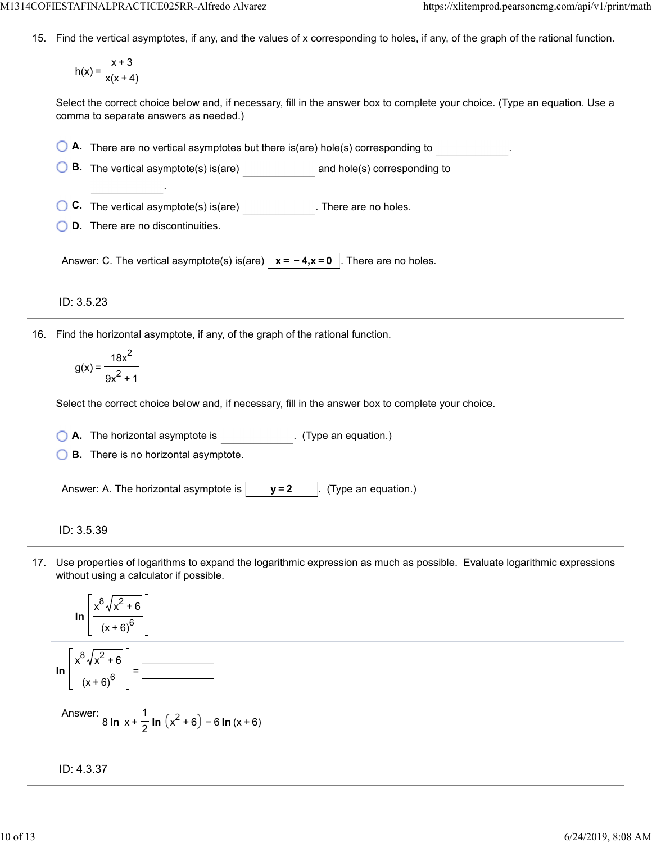15. Find the vertical asymptotes, if any, and the values of x corresponding to holes, if any, of the graph of the rational function.

$$
h(x) = \frac{x+3}{x(x+4)}
$$

Select the correct choice below and, if necessary, fill in the answer box to complete your choice. (Type an equation. Use a comma to separate answers as needed.)

|  | $\bigcirc$ A. There are no vertical asymptotes but there is(are) hole(s) corresponding to |  |
|--|-------------------------------------------------------------------------------------------|--|
|--|-------------------------------------------------------------------------------------------|--|

**B.** The vertical asymptote(s) is(are) **and hole(s)** corresponding to

**C.** The vertical asymptote(s) is(are) . There are no holes.

**D.** There are no discontinuities.

.

Answer: C. The vertical asymptote(s) is(are)  $\vert x = -4, x = 0 \vert$ . There are no holes.

ID: 3.5.23

16. Find the horizontal asymptote, if any, of the graph of the rational function.

$$
g(x) = \frac{18x^2}{9x^2 + 1}
$$

Select the correct choice below and, if necessary, fill in the answer box to complete your choice.

**A.** The horizontal asymptote is . (Type an equation.)

**B.** There is no horizontal asymptote.

Answer: A. The horizontal asymptote is  $|$   $y=2$   $|$ . (Type an equation.)

ID: 3.5.39

17. Use properties of logarithms to expand the logarithmic expression as much as possible. Evaluate logarithmic expressions without using a calculator if possible.

$$
\ln\left[\frac{x^8\sqrt{x^2+6}}{(x+6)^6}\right]
$$
  

$$
\ln\left[\frac{x^8\sqrt{x^2+6}}{(x+6)^6}\right] = \boxed{\frac{3}{2}}
$$

Answer: 
$$
8 \ln x + \frac{1}{2} \ln (x^2 + 6) - 6 \ln (x + 6)
$$

$$
ID: 4.3.37
$$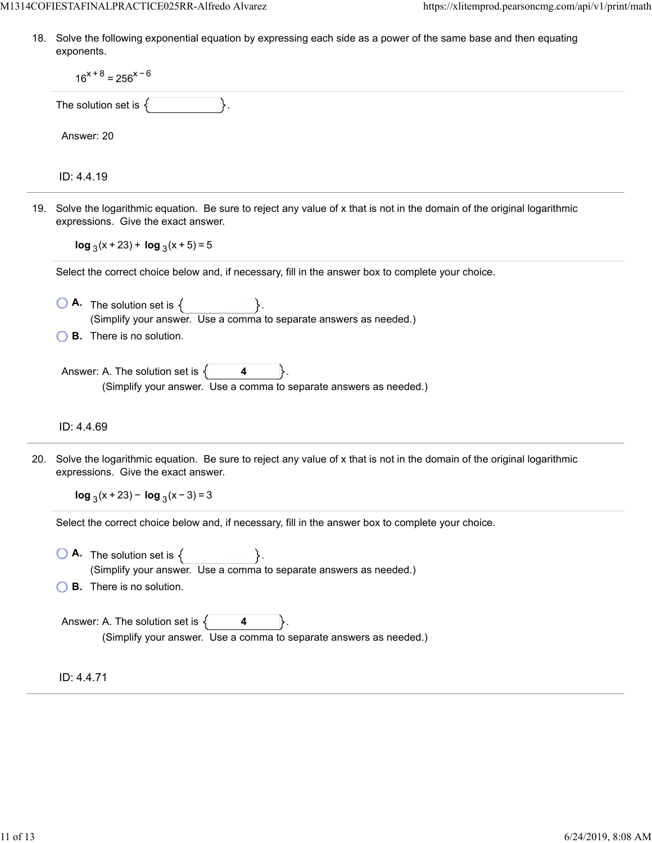18. Solve the following exponential equation by expressing each side as a power of the same base and then equating exponents.

|  | $16^{x+8} = 256^{x-6}$                                                                                                                                            |  |  |
|--|-------------------------------------------------------------------------------------------------------------------------------------------------------------------|--|--|
|  | The solution set is $\{$                                                                                                                                          |  |  |
|  | Answer: 20                                                                                                                                                        |  |  |
|  | ID: 4.4.19                                                                                                                                                        |  |  |
|  | 19. Solve the logarithmic equation. Be sure to reject any value of x that is not in the domain of the original logarithmic<br>expressions. Give the exact answer. |  |  |
|  | $\log_3(x + 23)$ + $\log_3(x + 5)$ = 5                                                                                                                            |  |  |
|  | Select the correct choice below and, if necessary, fill in the answer box to complete your choice.                                                                |  |  |
|  | (Simplify your answer. Use a comma to separate answers as needed.)                                                                                                |  |  |
|  | <b>B.</b> There is no solution.                                                                                                                                   |  |  |
|  | Answer: A. The solution set is $\{$ 4<br>lŀ.<br>(Simplify your answer. Use a comma to separate answers as needed.)                                                |  |  |
|  | ID: 4.4.69                                                                                                                                                        |  |  |
|  | 20. Solve the logarithmic equation. Be sure to reject any value of x that is not in the domain of the original logarithmic<br>expressions. Give the exact answer. |  |  |
|  | $\log_3(x + 23) - \log_3(x - 3) = 3$                                                                                                                              |  |  |
|  | Select the correct choice below and, if necessary, fill in the answer box to complete your choice.                                                                |  |  |
|  | <b>A.</b> The solution set is $\{$<br>(Simplify your answer. Use a comma to separate answers as needed.)                                                          |  |  |
|  | <b>B.</b> There is no solution.                                                                                                                                   |  |  |
|  | Answer: A. The solution set is $\{$<br>(Simplify your answer. Use a comma to separate answers as needed.)                                                         |  |  |
|  | ID: 4.4.71                                                                                                                                                        |  |  |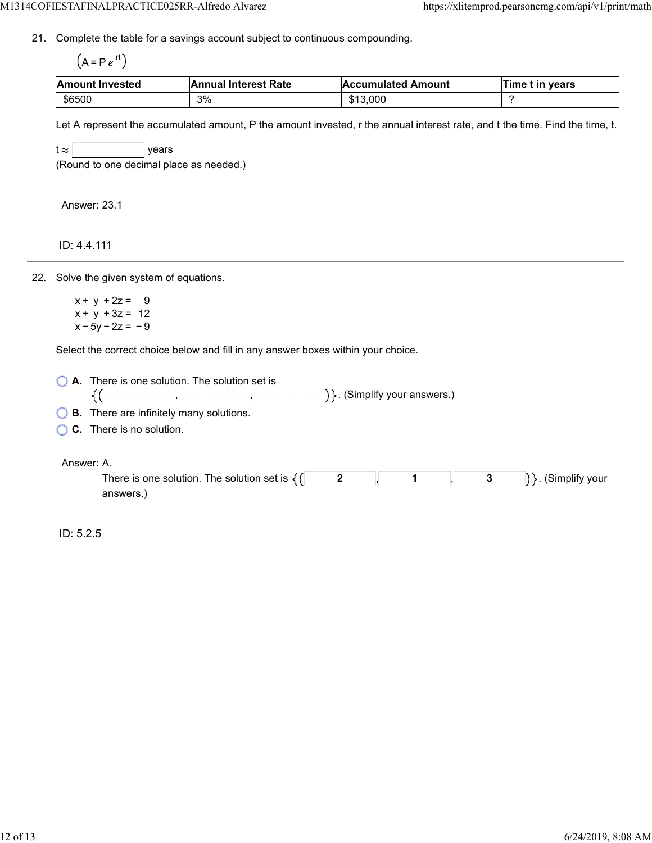21. Complete the table for a savings account subject to continuous compounding.

 $(A = Pe^{rt})$ 

| <b>Amount Invested</b> | <b>Annual Interest Rate</b> | <b>Accumulated Amount</b> | Time t in vears |
|------------------------|-----------------------------|---------------------------|-----------------|
| \$6500                 | 3%                          | \$13,000                  |                 |

Let A represent the accumulated amount, P the amount invested, r the annual interest rate, and t the time. Find the time, t.

 $t \approx$  years

(Round to one decimal place as needed.)

Answer: 23.1

ID: 4.4.111

22. Solve the given system of equations.

 $x + y + 2z = 9$  $x + y + 3z = 12$  $x - 5y - 2z = -9$ 

Select the correct choice below and fill in any answer boxes within your choice.

| A. There is one solution. The solution set is<br><b>B.</b> There are infinitely many solutions.<br>C. There is no solution. | $\}$ (Simplify your answers.)         |
|-----------------------------------------------------------------------------------------------------------------------------|---------------------------------------|
| Answer: A.<br>There is one solution. The solution set is $\{$ (<br>answers.)                                                | $\mathbf{2}$<br>3<br>. (Simplify your |
| ID: 5.2.5                                                                                                                   |                                       |